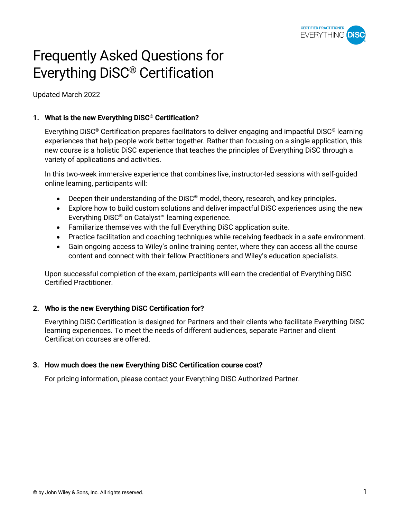

# Frequently Asked Questions for Everything DiSC® Certification

Updated March 2022

# **1. What is the new Everything DiSC® Certification?**

Everything DiSC® Certification prepares facilitators to deliver engaging and impactful DiSC® learning experiences that help people work better together*.* Rather than focusing on a single application, this new course is a holistic DiSC experience that teaches the principles of Everything DiSC through a variety of applications and activities.

In this two-week immersive experience that combines live, instructor-led sessions with self-guided online learning, participants will:

- Deepen their understanding of the DiSC<sup>®</sup> model, theory, research, and key principles.
- Explore how to build custom solutions and deliver impactful DiSC experiences using the new Everything DiSC® on Catalyst™ learning experience.
- Familiarize themselves with the full Everything DiSC application suite.
- Practice facilitation and coaching techniques while receiving feedback in a safe environment.
- Gain ongoing access to Wiley's online training center, where they can access all the course content and connect with their fellow Practitioners and Wiley's education specialists.

Upon successful completion of the exam, participants will earn the credential of Everything DiSC Certified Practitioner.

## **2. Who is the new Everything DiSC Certification for?**

Everything DiSC Certification is designed for Partners and their clients who facilitate Everything DiSC learning experiences. To meet the needs of different audiences, separate Partner and client Certification courses are offered.

## **3. How much does the new Everything DiSC Certification course cost?**

For pricing information, please contact your Everything DiSC Authorized Partner.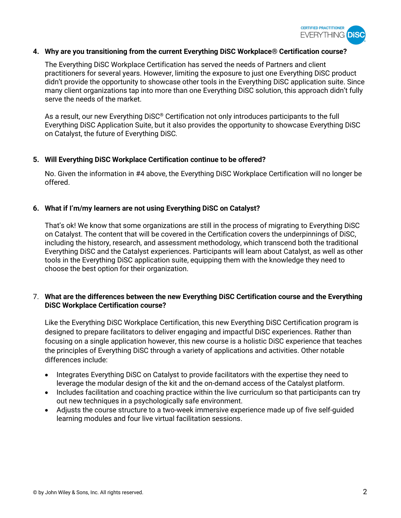

#### **4. Why are you transitioning from the current Everything DiSC Workplace® Certification course?**

The Everything DiSC Workplace Certification has served the needs of Partners and client practitioners for several years. However, limiting the exposure to just one Everything DiSC product didn't provide the opportunity to showcase other tools in the Everything DiSC application suite. Since many client organizations tap into more than one Everything DiSC solution, this approach didn't fully serve the needs of the market.

As a result, our new Everything DiSC® Certification not only introduces participants to the full Everything DiSC Application Suite, but it also provides the opportunity to showcase Everything DiSC on Catalyst, the future of Everything DiSC*.*

#### **5. Will Everything DiSC Workplace Certification continue to be offered?**

No. Given the information in #4 above, the Everything DiSC Workplace Certification will no longer be offered.

## **6. What if I'm/my learners are not using Everything DiSC on Catalyst?**

That's ok! We know that some organizations are still in the process of migrating to Everything DiSC on Catalyst. The content that will be covered in the Certification covers the underpinnings of DiSC, including the history, research, and assessment methodology, which transcend both the traditional Everything DiSC and the Catalyst experiences. Participants will learn about Catalyst, as well as other tools in the Everything DiSC application suite, equipping them with the knowledge they need to choose the best option for their organization.

# 7. **What are the differences between the new Everything DiSC Certification course and the Everything DiSC Workplace Certification course?**

Like the Everything DiSC Workplace Certification, this new Everything DiSC Certification program is designed to prepare facilitators to deliver engaging and impactful DiSC experiences. Rather than focusing on a single application however, this new course is a holistic DiSC experience that teaches the principles of Everything DiSC through a variety of applications and activities. Other notable differences include:

- Integrates Everything DiSC on Catalyst to provide facilitators with the expertise they need to leverage the modular design of the kit and the on-demand access of the Catalyst platform.
- Includes facilitation and coaching practice within the live curriculum so that participants can try out new techniques in a psychologically safe environment.
- Adjusts the course structure to a two-week immersive experience made up of five self-guided learning modules and four live virtual facilitation sessions.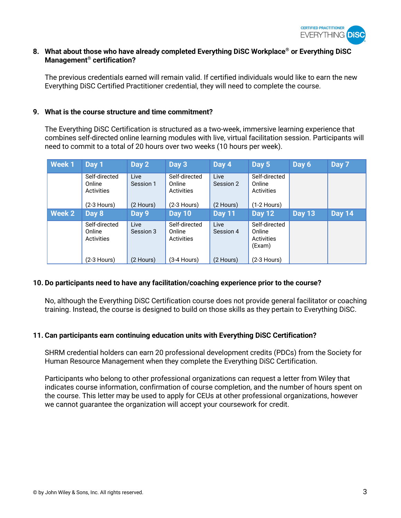

## **8. What about those who have already completed Everything DiSC Workplace® or Everything DiSC Management® certification?**

The previous credentials earned will remain valid. If certified individuals would like to earn the new Everything DiSC Certified Practitioner credential, they will need to complete the course.

#### **9. What is the course structure and time commitment?**

The Everything DiSC Certification is structured as a two-week, immersive learning experience that combines self-directed online learning modules with live, virtual facilitation session. Participants will need to commit to a total of 20 hours over two weeks (10 hours per week).

| <b>Week1</b>  | Day 1                                 | Day 2             | Day 3                                 | Day 4             | Day 5                                           | Day 6         | Day 7         |
|---------------|---------------------------------------|-------------------|---------------------------------------|-------------------|-------------------------------------------------|---------------|---------------|
|               | Self-directed<br>Online<br>Activities | Live<br>Session 1 | Self-directed<br>Online<br>Activities | Live<br>Session 2 | Self-directed<br>Online<br>Activities           |               |               |
|               | $(2-3$ Hours)                         | (2 Hours)         | $(2-3$ Hours)                         | (2 Hours)         | $(1-2$ Hours)                                   |               |               |
| <b>Week 2</b> | Day 8                                 | Day 9             | <b>Day 10</b>                         | <b>Day 11</b>     | <b>Day 12</b>                                   | <b>Day 13</b> | <b>Day 14</b> |
|               | Self-directed<br>Online<br>Activities | Live<br>Session 3 | Self-directed<br>Online<br>Activities | Live<br>Session 4 | Self-directed<br>Online<br>Activities<br>(Exam) |               |               |
|               | (2-3 Hours)                           | (2 Hours)         | $(3-4$ Hours)                         | (2 Hours)         | $(2-3$ Hours)                                   |               |               |

## **10. Do participants need to have any facilitation/coaching experience prior to the course?**

No, although the Everything DiSC Certification course does not provide general facilitator or coaching training. Instead, the course is designed to build on those skills as they pertain to Everything DiSC.

## **11. Can participants earn continuing education units with Everything DiSC Certification?**

SHRM credential holders can earn 20 professional development credits (PDCs) from the Society for Human Resource Management when they complete the Everything DiSC Certification.

Participants who belong to other professional organizations can request a letter from Wiley that indicates course information, confirmation of course completion, and the number of hours spent on the course. This letter may be used to apply for CEUs at other professional organizations, however we cannot guarantee the organization will accept your coursework for credit.